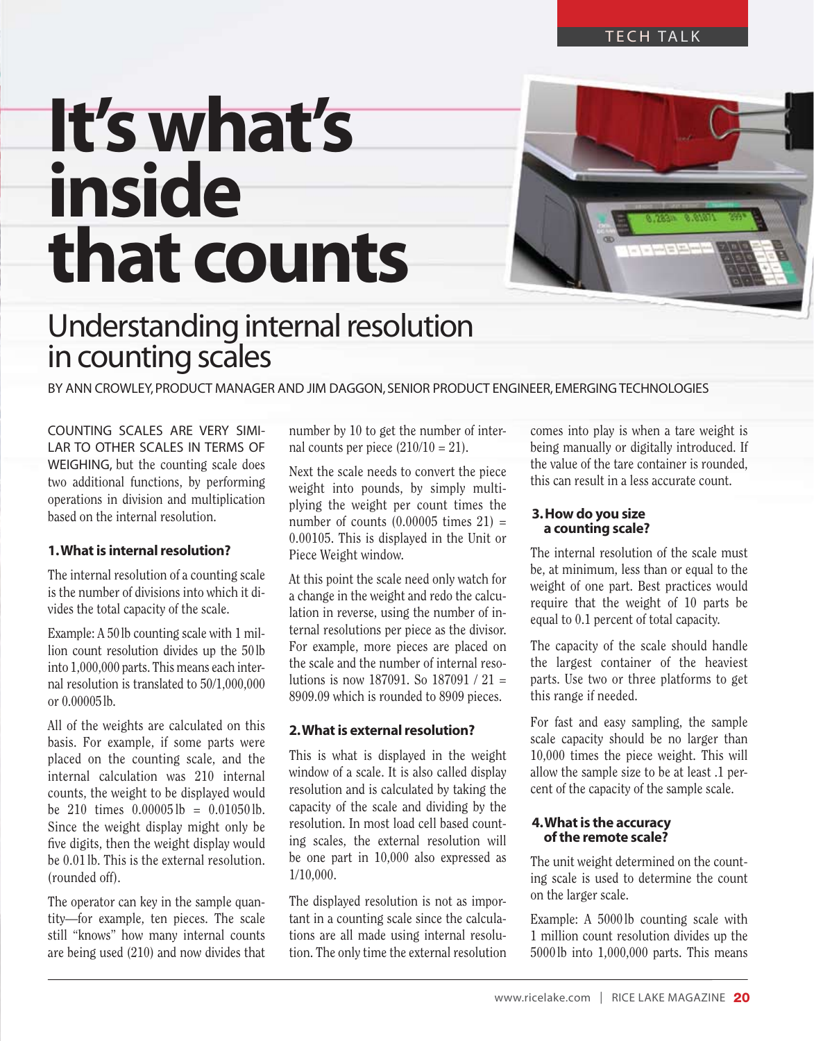## **It's what's inside that counts**



### Understanding internal resolution in counting scales

By Ann crowley, Product manager and Jim DAGGON, senior product engineer, emerging technologies

Counting scales are very similar to other scales in terms of WEIGHING, but the counting scale does two additional functions, by performing operations in division and multiplication based on the internal resolution.

#### **1. What is internal resolution?**

The internal resolution of a counting scale is the number of divisions into which it divides the total capacity of the scale.

Example: A 50lb counting scale with 1 million count resolution divides up the 50lb into 1,000,000 parts. This means each internal resolution is translated to 50/1,000,000 or 0.00005lb.

All of the weights are calculated on this basis. For example, if some parts were placed on the counting scale, and the internal calculation was 210 internal counts, the weight to be displayed would be 210 times  $0.00005$  lb =  $0.01050$  lb. Since the weight display might only be five digits, then the weight display would be 0.01 lb. This is the external resolution. (rounded off).

The operator can key in the sample quantity—for example, ten pieces. The scale still "knows" how many internal counts are being used (210) and now divides that

number by 10 to get the number of internal counts per piece  $(210/10 = 21)$ .

Next the scale needs to convert the piece weight into pounds, by simply multiplying the weight per count times the number of counts  $(0.00005$  times  $21$ ) = 0.00105. This is displayed in the Unit or Piece Weight window.

At this point the scale need only watch for a change in the weight and redo the calculation in reverse, using the number of internal resolutions per piece as the divisor. For example, more pieces are placed on the scale and the number of internal resolutions is now 187091. So 187091 / 21 = 8909.09 which is rounded to 8909 pieces.

#### **2. What is external resolution?**

This is what is displayed in the weight window of a scale. It is also called display resolution and is calculated by taking the capacity of the scale and dividing by the resolution. In most load cell based counting scales, the external resolution will be one part in 10,000 also expressed as 1/10,000.

The displayed resolution is not as important in a counting scale since the calculations are all made using internal resolution. The only time the external resolution comes into play is when a tare weight is being manually or digitally introduced. If the value of the tare container is rounded, this can result in a less accurate count.

#### **3. How do you size a counting scale?**

The internal resolution of the scale must be, at minimum, less than or equal to the weight of one part. Best practices would require that the weight of 10 parts be equal to 0.1 percent of total capacity.

The capacity of the scale should handle the largest container of the heaviest parts. Use two or three platforms to get this range if needed.

For fast and easy sampling, the sample scale capacity should be no larger than 10,000 times the piece weight. This will allow the sample size to be at least .1 percent of the capacity of the sample scale.

#### **4. What is the accuracy of the remote scale?**

The unit weight determined on the counting scale is used to determine the count on the larger scale.

Example: A 5000 lb counting scale with 1 million count resolution divides up the 5000lb into 1,000,000 parts. This means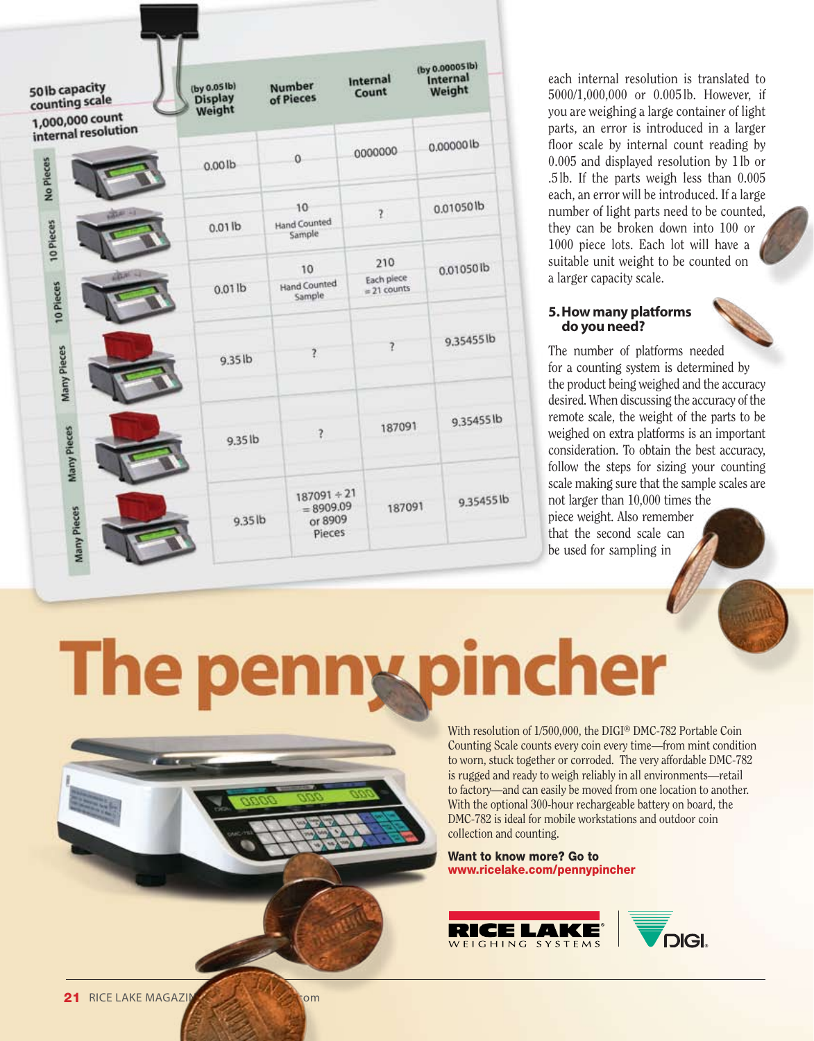| 50 lb capacity<br>counting scale<br>1,000,000 count | (by 0.05 lb)<br>Display<br>Weight | Number<br>of Pieces                               | Internal<br>Count<br>0000000<br>$\overline{?}$<br>210<br>Each piece<br>$= 21$ counts |        | (by 0.000051b)<br>Internal<br>Weight |  |
|-----------------------------------------------------|-----------------------------------|---------------------------------------------------|--------------------------------------------------------------------------------------|--------|--------------------------------------|--|
| internal resolution<br>No Pieces                    | 0.001 <sub>b</sub>                | $\mathbf 0$                                       |                                                                                      |        | 0.00000lb<br>0.01050lb               |  |
| 10 Pieces                                           | $0.01$ lb                         | 10<br><b>Hand Counted</b><br>Sample               |                                                                                      |        |                                      |  |
| LESS -<br>10 Pieces                                 | $0.01$ lb                         | 10<br><b>Hand Counted</b><br>Sample               |                                                                                      |        | 0.01050lb                            |  |
| Many Pieces                                         | $9.35$ lb                         | $\overline{?}$                                    |                                                                                      | 7      | 9.35455lb                            |  |
| Many Pieces                                         | 9.35lb                            | $\overline{\mathcal{E}}$                          |                                                                                      | 187091 | 9,354551b                            |  |
| <b>Aany Pieces</b>                                  | 9.35lb                            | $187091 + 21$<br>$= 8909.09$<br>or 8909<br>Pieces |                                                                                      | 187091 | 9.354551b                            |  |

each internal resolution is translated to 5000/1,000,000 or 0.005 lb. However, if you are weighing a large container of light parts, an error is introduced in a larger floor scale by internal count reading by 0.005 and displayed resolution by 1lb or .5lb. If the parts weigh less than 0.005 each, an error will be introduced. If a large number of light parts need to be counted, they can be broken down into 100 or 1000 piece lots. Each lot will have a suitable unit weight to be counted on a larger capacity scale.

#### **5. How many platforms do you need?**

The number of platforms needed for a counting system is determined by the product being weighed and the accuracy desired. When discussing the accuracy of the remote scale, the weight of the parts to be weighed on extra platforms is an important consideration. To obtain the best accuracy, follow the steps for sizing your counting scale making sure that the sample scales are not larger than 10,000 times the piece weight. Also remember that the second scale can be used for sampling in

kpincher The per

> With resolution of 1/500,000, the DIGI® DMC-782 Portable Coin Counting Scale counts every coin every time—from mint condition to worn, stuck together or corroded. The very affordable DMC-782 is rugged and ready to weigh reliably in all environments—retail to factory—and can easily be moved from one location to another. With the optional 300-hour rechargeable battery on board, the DMC-782 is ideal for mobile workstations and outdoor coin collection and counting.

Want to know more? Go to www.ricelake.com/pennypincher